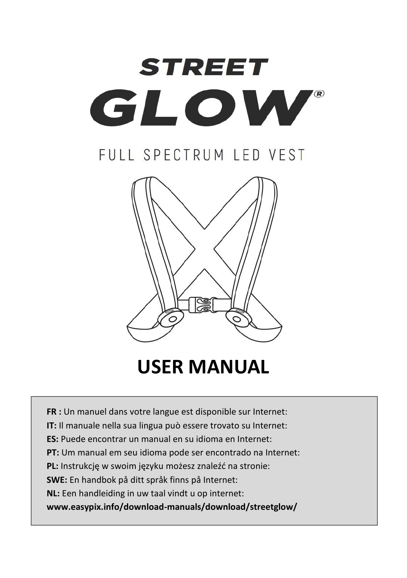

# FULL SPECTRUM LED VEST



**USER MANUAL**

**FR :** Un manuel dans votre langue est disponible sur Internet:

**IT:** Il manuale nella sua lingua può essere trovato su Internet:

**ES:** Puede encontrar un manual en su idioma en Internet:

**PT:** Um manual em seu idioma pode ser encontrado na Internet:

**PL:** Instrukcję w swoim języku możesz znaleźć na stronie:

**SWE:** En handbok på ditt språk finns på Internet:

**NL:** Een handleiding in uw taal vindt u op internet:

**www.easypix.info/download-manuals/download/streetglow/**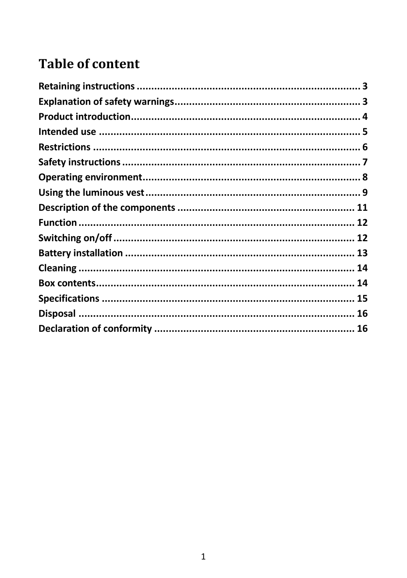## **Table of content**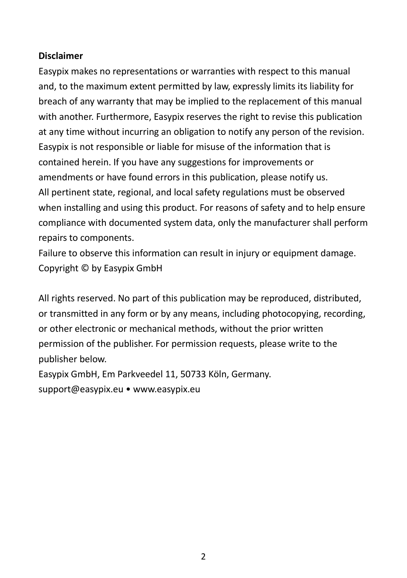#### **Disclaimer**

Easypix makes no representations or warranties with respect to this manual and, to the maximum extent permitted by law, expressly limits its liability for breach of any warranty that may be implied to the replacement of this manual with another. Furthermore, Easypix reserves the right to revise this publication at any time without incurring an obligation to notify any person of the revision. Easypix is not responsible or liable for misuse of the information that is contained herein. If you have any suggestions for improvements or amendments or have found errors in this publication, please notify us. All pertinent state, regional, and local safety regulations must be observed when installing and using this product. For reasons of safety and to help ensure compliance with documented system data, only the manufacturer shall perform repairs to components.

Failure to observe this information can result in injury or equipment damage. Copyright © by Easypix GmbH

All rights reserved. No part of this publication may be reproduced, distributed, or transmitted in any form or by any means, including photocopying, recording, or other electronic or mechanical methods, without the prior written permission of the publisher. For permission requests, please write to the publisher below.

Easypix GmbH, Em Parkveedel 11, 50733 Köln, Germany. support@easypix.eu • www.easypix.eu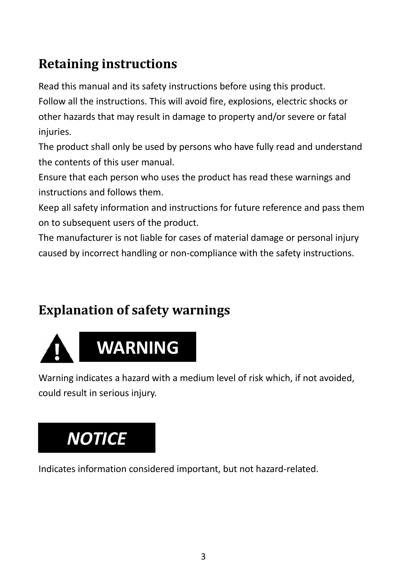## <span id="page-3-0"></span>**Retaining instructions**

Read this manual and its safety instructions before using this product.

Follow all the instructions. This will avoid fire, explosions, electric shocks or other hazards that may result in damage to property and/or severe or fatal injuries.

The product shall only be used by persons who have fully read and understand the contents of this user manual.

Ensure that each person who uses the product has read these warnings and instructions and follows them.

Keep all safety information and instructions for future reference and pass them on to subsequent users of the product.

The manufacturer is not liable for cases of material damage or personal injury caused by incorrect handling or non-compliance with the safety instructions.

## <span id="page-3-1"></span>**Explanation of safety warnings**



Warning indicates a hazard with a medium level of risk which, if not avoided, could result in serious injury.

# *NOTICE*

Indicates information considered important, but not hazard-related.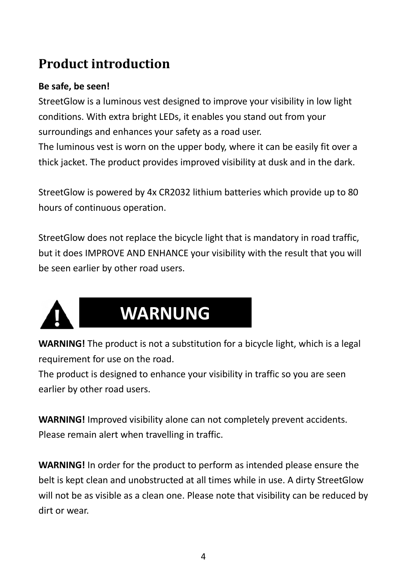## <span id="page-4-0"></span>**Product introduction**

### **Be safe, be seen!**

StreetGlow is a luminous vest designed to improve your visibility in low light conditions. With extra bright LEDs, it enables you stand out from your surroundings and enhances your safety as a road user. The luminous vest is worn on the upper body, where it can be easily fit over a thick jacket. The product provides improved visibility at dusk and in the dark.

StreetGlow is powered by 4x CR2032 lithium batteries which provide up to 80 hours of continuous operation.

StreetGlow does not replace the bicycle light that is mandatory in road traffic, but it does IMPROVE AND ENHANCE your visibility with the result that you will be seen earlier by other road users.



# **WARNUNG**

**WARNING!** The product is not a substitution for a bicycle light, which is a legal requirement for use on the road.

The product is designed to enhance your visibility in traffic so you are seen earlier by other road users.

**WARNING!** Improved visibility alone can not completely prevent accidents. Please remain alert when travelling in traffic.

**WARNING!** In order for the product to perform as intended please ensure the belt is kept clean and unobstructed at all times while in use. A dirty StreetGlow will not be as visible as a clean one. Please note that visibility can be reduced by dirt or wear.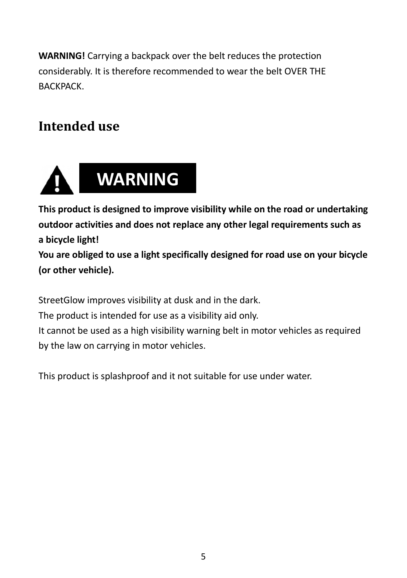**WARNING!** Carrying a backpack over the belt reduces the protection considerably. It is therefore recommended to wear the belt OVER THE BACKPACK.

## <span id="page-5-0"></span>**Intended use**



**This product is designed to improve visibility while on the road or undertaking outdoor activities and does not replace any other legal requirements such as a bicycle light!**

**You are obliged to use a light specifically designed for road use on your bicycle (or other vehicle).**

StreetGlow improves visibility at dusk and in the dark.

The product is intended for use as a visibility aid only.

It cannot be used as a high visibility warning belt in motor vehicles as required by the law on carrying in motor vehicles.

This product is splashproof and it not suitable for use under water.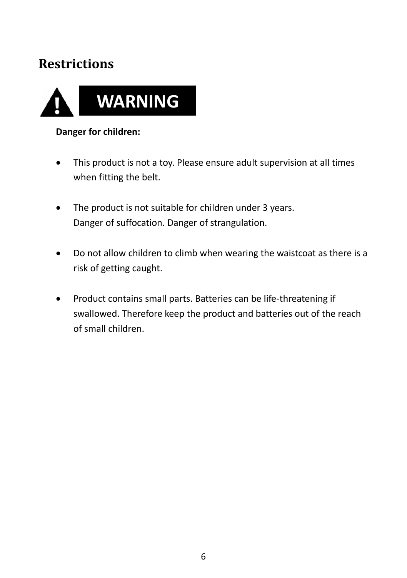## <span id="page-6-0"></span>**Restrictions**



#### **Danger for children:**

- This product is not a toy. Please ensure adult supervision at all times when fitting the belt.
- The product is not suitable for children under 3 years. Danger of suffocation. Danger of strangulation.
- Do not allow children to climb when wearing the waistcoat as there is a risk of getting caught.
- Product contains small parts. Batteries can be life-threatening if swallowed. Therefore keep the product and batteries out of the reach of small children.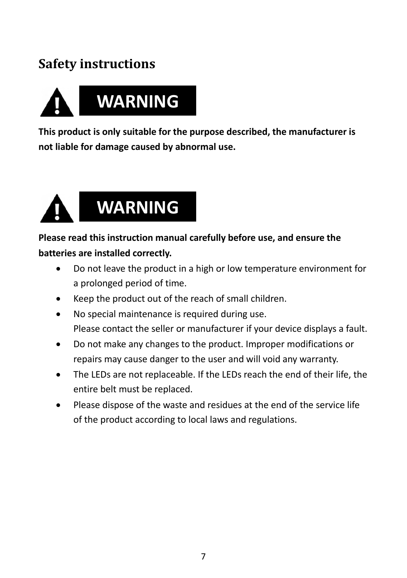## <span id="page-7-0"></span>**Safety instructions**



**This product is only suitable for the purpose described, the manufacturer is not liable for damage caused by abnormal use.**



### **Please read this instruction manual carefully before use, and ensure the batteries are installed correctly.**

- Do not leave the product in a high or low temperature environment for a prolonged period of time.
- Keep the product out of the reach of small children.
- No special maintenance is required during use. Please contact the seller or manufacturer if your device displays a fault.
- Do not make any changes to the product. Improper modifications or repairs may cause danger to the user and will void any warranty.
- The LEDs are not replaceable. If the LEDs reach the end of their life, the entire belt must be replaced.
- Please dispose of the waste and residues at the end of the service life of the product according to local laws and regulations.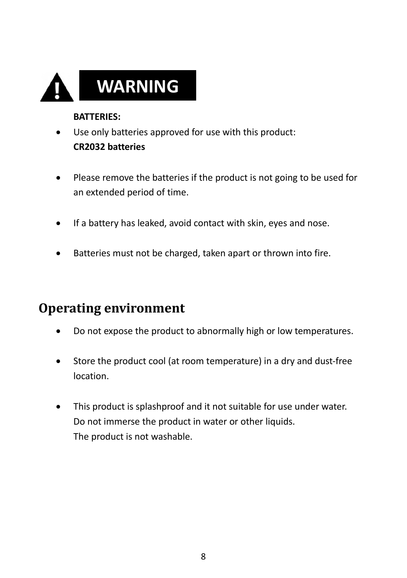

#### **BATTERIES:**

- Use only batteries approved for use with this product: **CR2032 batteries**
- Please remove the batteries if the product is not going to be used for an extended period of time.
- If a battery has leaked, avoid contact with skin, eyes and nose.
- Batteries must not be charged, taken apart or thrown into fire.

## <span id="page-8-0"></span>**Operating environment**

- Do not expose the product to abnormally high or low temperatures.
- Store the product cool (at room temperature) in a dry and dust-free location.
- This product is splashproof and it not suitable for use under water. Do not immerse the product in water or other liquids. The product is not washable.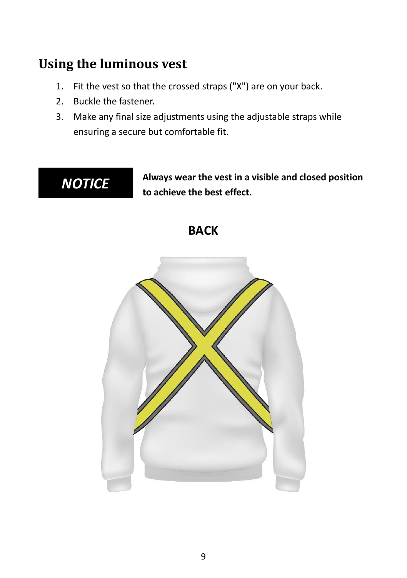## <span id="page-9-0"></span>**Using the luminous vest**

- 1. Fit the vest so that the crossed straps ("X") are on your back.
- 2. Buckle the fastener.
- 3. Make any final size adjustments using the adjustable straps while ensuring a secure but comfortable fit.



**Always wear the vest in a visible and closed position to achieve the best effect.**

## **BACK**

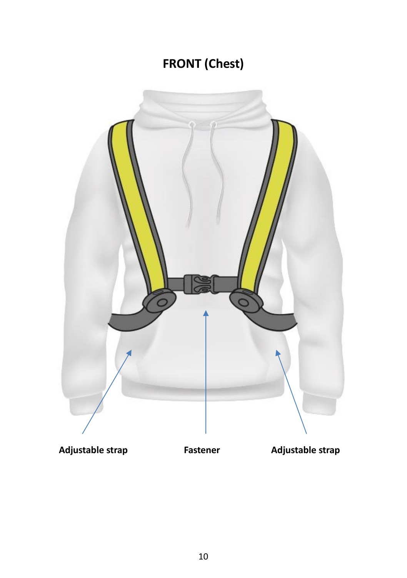# **FRONT (Chest)**



Adjustable strap **Fastener** Adjustable strap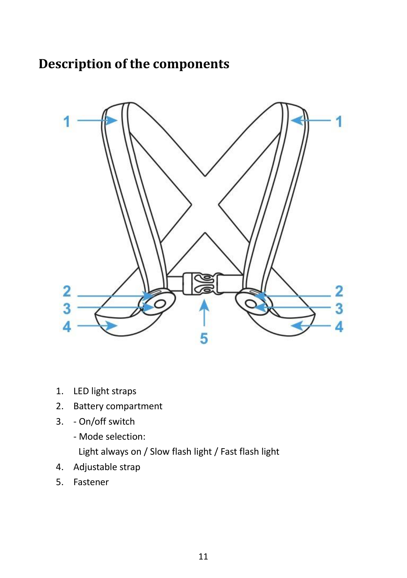## <span id="page-11-0"></span>**Description of the components**



- 1. LED light straps
- 2. Battery compartment
- 3. On/off switch
	- Mode selection:

Light always on / Slow flash light / Fast flash light

- 4. Adjustable strap
- 5. Fastener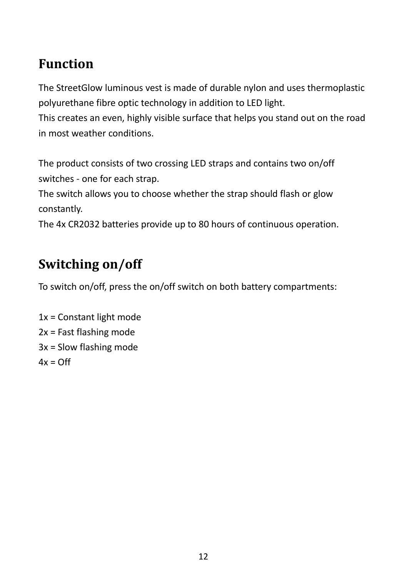## <span id="page-12-0"></span>**Function**

The StreetGlow luminous vest is made of durable nylon and uses thermoplastic polyurethane fibre optic technology in addition to LED light.

This creates an even, highly visible surface that helps you stand out on the road in most weather conditions.

The product consists of two crossing LED straps and contains two on/off switches - one for each strap.

The switch allows you to choose whether the strap should flash or glow constantly.

The 4x CR2032 batteries provide up to 80 hours of continuous operation.

## <span id="page-12-1"></span>**Switching on/off**

To switch on/off, press the on/off switch on both battery compartments:

1x = Constant light mode 2x = Fast flashing mode 3x = Slow flashing mode  $4x = \bigcap f$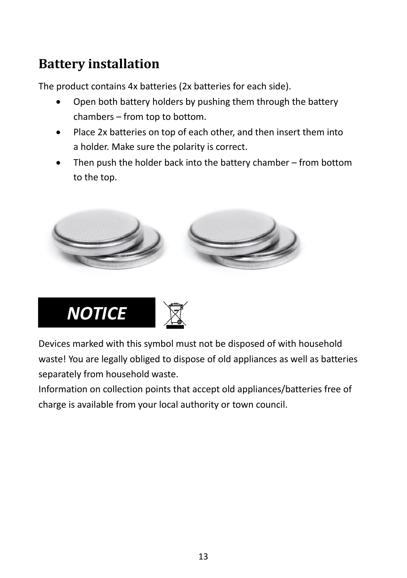## <span id="page-13-0"></span>**Battery installation**

The product contains 4x batteries (2x batteries for each side).

- Open both battery holders by pushing them through the battery chambers – from top to bottom.
- Place 2x batteries on top of each other, and then insert them into a holder. Make sure the polarity is correct.
- Then push the holder back into the battery chamber  $-$  from bottom to the top.





Devices marked with this symbol must not be disposed of with household waste! You are legally obliged to dispose of old appliances as well as batteries separately from household waste.

Information on collection points that accept old appliances/batteries free of charge is available from your local authority or town council.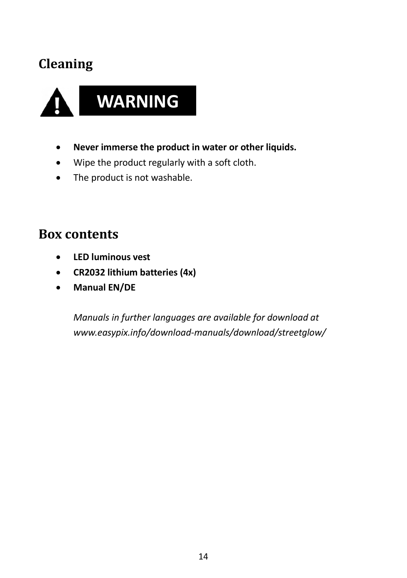## <span id="page-14-0"></span>**Cleaning**



- **Never immerse the product in water or other liquids.**
- Wipe the product regularly with a soft cloth.
- The product is not washable.

## <span id="page-14-1"></span>**Box contents**

- **LED luminous vest**
- **CR2032 lithium batteries (4x)**
- **Manual EN/DE**

*Manuals in further languages are available for download at www.easypix.info/download-manuals/download/streetglow/*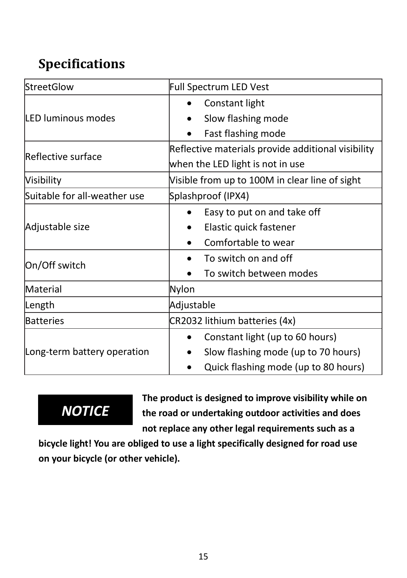# <span id="page-15-0"></span>**Specifications**

| StreetGlow                   | Full Spectrum LED Vest                             |
|------------------------------|----------------------------------------------------|
| LED luminous modes           | Constant light                                     |
|                              | Slow flashing mode                                 |
|                              | Fast flashing mode                                 |
| Reflective surface           | Reflective materials provide additional visibility |
|                              | when the LED light is not in use                   |
| Visibility                   | Visible from up to 100M in clear line of sight     |
| Suitable for all-weather use | Splashproof (IPX4)                                 |
| Adjustable size              | Easy to put on and take off                        |
|                              | Elastic quick fastener                             |
|                              | Comfortable to wear                                |
| On/Off switch                | To switch on and off                               |
|                              | To switch between modes                            |
| Material                     | Nylon                                              |
| Length                       | Adjustable                                         |
| <b>Batteries</b>             | CR2032 lithium batteries (4x)                      |
| Long-term battery operation  | Constant light (up to 60 hours)                    |
|                              | Slow flashing mode (up to 70 hours)                |
|                              | Quick flashing mode (up to 80 hours)               |

# *NOTICE*

**The product is designed to improve visibility while on the road or undertaking outdoor activities and does not replace any other legal requirements such as a** 

**bicycle light! You are obliged to use a light specifically designed for road use on your bicycle (or other vehicle).**